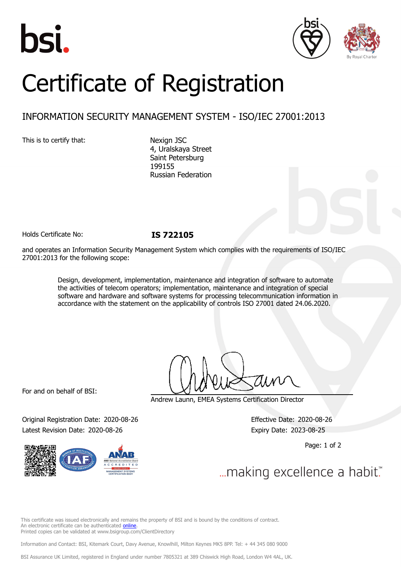





# Certificate of Registration

## INFORMATION SECURITY MANAGEMENT SYSTEM - ISO/IEC 27001:2013

This is to certify that: Nexign JSC

4, Uralskaya Street Saint Petersburg 199155 Russian Federation

Holds Certificate No: **IS 722105**

and operates an Information Security Management System which complies with the requirements of ISO/IEC 27001:2013 for the following scope:

> Design, development, implementation, maintenance and integration of software to automate the activities of telecom operators; implementation, maintenance and integration of special software and hardware and software systems for processing telecommunication information in accordance with the statement on the applicability of controls ISO 27001 dated 24.06.2020.

For and on behalf of BSI:

Andrew Launn, EMEA Systems Certification Director

Original Registration Date: 2020-08-26 Effective Date: 2020-08-26 Latest Revision Date: 2020-08-26 **Expiry Date: 2023-08-25** Expiry Date: 2023-08-25

Page: 1 of 2

... making excellence a habit."

This certificate was issued electronically and remains the property of BSI and is bound by the conditions of contract. An electronic certificate can be authenticated [online](https://pgplus.bsigroup.com/CertificateValidation/CertificateValidator.aspx?CertificateNumber=IS+722105&ReIssueDate=26%2f08%2f2020&Template=cemea_en). Printed copies can be validated at www.bsigroup.com/ClientDirectory

Information and Contact: BSI, Kitemark Court, Davy Avenue, Knowlhill, Milton Keynes MK5 8PP. Tel: + 44 345 080 9000

BSI Assurance UK Limited, registered in England under number 7805321 at 389 Chiswick High Road, London W4 4AL, UK.